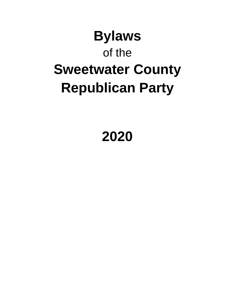# **Bylaws** of the **Sweetwater County Republican Party**

## **2020**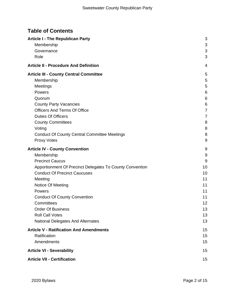## **Table of Contents**

| <b>Article I - The Republican Party</b>                  | 3  |
|----------------------------------------------------------|----|
| Membership                                               | 3  |
| Governance                                               | 3  |
| Role                                                     | 3  |
| <b>Article II - Procedure And Definition</b>             | 4  |
| <b>Article III - County Central Committee</b>            | 5  |
| Membership                                               | 5  |
| Meetings                                                 | 5  |
| Powers                                                   | 6  |
| Quorum                                                   | 6  |
| <b>County Party Vacancies</b>                            | 6  |
| <b>Officers And Terms Of Office</b>                      | 7  |
| <b>Duties Of Officers</b>                                | 7  |
| <b>County Committees</b>                                 | 8  |
| Voting                                                   | 8  |
| <b>Conduct Of County Central Committee Meetings</b>      | 8  |
| <b>Proxy Votes</b>                                       | 9  |
| <b>Article IV - County Convention</b>                    | 9  |
| Membership                                               | 9  |
| <b>Precinct Caucus</b>                                   | 9  |
| Apportionment Of Precinct Delegates To County Convention | 10 |
| <b>Conduct Of Precinct Caucuses</b>                      | 10 |
| Meeting                                                  | 11 |
| Notice Of Meeting                                        | 11 |
| Powers                                                   | 11 |
| <b>Conduct Of County Convention</b>                      | 11 |
| Committees                                               | 12 |
| <b>Order Of Business</b>                                 | 13 |
| <b>Roll Call Votes</b>                                   | 13 |
| National Delegates And Alternates                        | 13 |
| <b>Article V - Ratification And Amendments</b>           | 15 |
| Ratification                                             | 15 |
| Amendments                                               | 15 |
| <b>Article VI - Severability</b>                         | 15 |
| <b>Article VII - Certification</b>                       | 15 |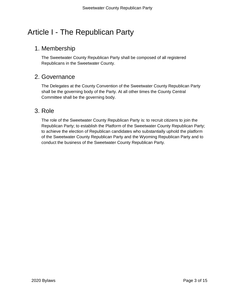## <span id="page-2-0"></span>Article I - The Republican Party

## <span id="page-2-1"></span>1. Membership

The Sweetwater County Republican Party shall be composed of all registered Republicans in the Sweetwater County.

#### <span id="page-2-2"></span>2. Governance

The Delegates at the County Convention of the Sweetwater County Republican Party shall be the governing body of the Party. At all other times the County Central Committee shall be the governing body.

## <span id="page-2-3"></span>3. Role

The role of the Sweetwater County Republican Party is: to recruit citizens to join the Republican Party; to establish the Platform of the Sweetwater County Republican Party; to achieve the election of Republican candidates who substantially uphold the platform of the Sweetwater County Republican Party and the Wyoming Republican Party and to conduct the business of the Sweetwater County Republican Party.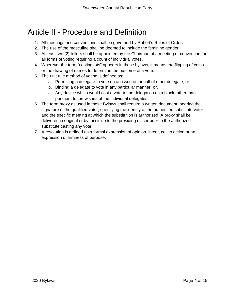## <span id="page-3-0"></span>Article II - Procedure and Definition

- 1. All meetings and conventions shall be governed by Robert's Rules of Order.
- 2. The use of the masculine shall be deemed to include the feminine gender.
- 3. At least two (2) tellers shall be appointed by the Chairman of a meeting or convention for all forms of voting requiring a count of individual votes.
- 4. Wherever the term "casting lots" appears in these bylaws, it means the flipping of coins or the drawing of names to determine the outcome of a vote.
- 5. The unit rule method of voting is defined as:
	- a. Permitting a delegate to vote on an issue on behalf of other delegate; or,
	- b. Binding a delegate to vote in any particular manner; or,
	- c. Any device which would cast a vote to the delegation as a block rather than pursuant to the wishes of the individual delegates.
- 6. The term proxy as used in these Bylaws shall require a written document, bearing the signature of the qualified voter, specifying the identity of the authorized substitute voter and the specific meeting at which the substitution is authorized. A proxy shall be delivered in original or by facsimile to the presiding officer prior to the authorized substitute casting any vote.
- 7. A resolution is defined as a formal expression of opinion, intent, call to action or an expression of firmness of purpose.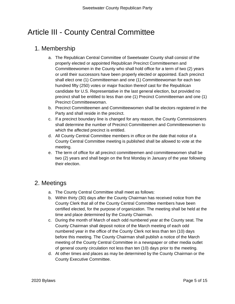## <span id="page-4-0"></span>Article III - County Central Committee

## <span id="page-4-1"></span>1. Membership

- a. The Republican Central Committee of Sweetwater County shall consist of the properly elected or appointed Republican Precinct Committeemen and Committeewomen in the County who shall hold office for a term of two (2) years or until their successors have been properly elected or appointed. Each precinct shall elect one (1) Committeeman and one (1) Committeewoman for each two hundred fifty (250) votes or major fraction thereof cast for the Republican candidate for U.S. Representative in the last general election, but provided no precinct shall be entitled to less than one (1) Precinct Committeeman and one (1) Precinct Committeewoman.
- b. Precinct Committeemen and Committeewomen shall be electors registered in the Party and shall reside in the precinct.
- c. If a precinct boundary line is changed for any reason, the County Commissioners shall determine the number of Precinct Committeemen and Committeewomen to which the affected precinct is entitled.
- d. All County Central Committee members in office on the date that notice of a County Central Committee meeting is published shall be allowed to vote at the meeting.
- e. The term of office for all precinct committeemen and committeewomen shall be two (2) years and shall begin on the first Monday in January of the year following their election.

## <span id="page-4-2"></span>2. Meetings

- a. The County Central Committee shall meet as follows:
- b. Within thirty (30) days after the County Chairman has received notice from the County Clerk that all of the County Central Committee members have been certified elected, for the purpose of organization. The meeting shall be held at the time and place determined by the County Chairman.
- c. During the month of March of each odd numbered year at the County seat. The County Chairman shall deposit notice of the March meeting of each odd numbered year in the office of the County Clerk not less than ten (10) days before this meeting. The County Chairman shall publish a notice of the March meeting of the County Central Committee in a newspaper or other media outlet of general county circulation not less than ten (10) days prior to the meeting.
- d. At other times and places as may be determined by the County Chairman or the County Executive Committee.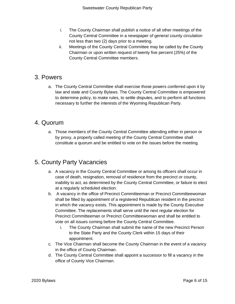- i. The County Chairman shall publish a notice of all other meetings of the County Central Committee in a newspaper of general county circulation not less than two (2) days prior to a meeting.
- ii. Meetings of the County Central Committee may be called by the County Chairman or upon written request of twenty five percent (25%) of the County Central Committee members.

#### <span id="page-5-0"></span>3. Powers

a. The County Central Committee shall exercise those powers conferred upon it by law and state and County Bylaws. The County Central Committee is empowered to determine policy, to make rules, to settle disputes, and to perform all functions necessary to further the interests of the Wyoming Republican Party.

#### <span id="page-5-1"></span>4. Quorum

a. Those members of the County Central Committee attending either in person or by proxy, a properly called meeting of the County Central Committee shall constitute a quorum and be entitled to vote on the issues before the meeting.

## <span id="page-5-2"></span>5. County Party Vacancies

- a. A vacancy in the County Central Committee or among its officers shall occur in case of death, resignation, removal of residence from the precinct or county, inability to act, as determined by the County Central Committee, or failure to elect at a regularly scheduled election.
- b. A vacancy in the office of Precinct Committeeman or Precinct Committeewoman shall be filled by appointment of a registered Republican resident in the precinct in which the vacancy exists. This appointment is made by the County Executive Committee. The replacements shall serve until the next regular election for Precinct Committeeman or Precinct Committeewoman and shall be entitled to vote on all issues coming before the County Central Committee.
	- i. The County Chairman shall submit the name of the new Precinct Person to the State Party and the County Clerk within 15 days of their appointment.
- c. The Vice Chairman shall become the County Chairman in the event of a vacancy in the office of County Chairman.
- d. The County Central Committee shall appoint a successor to fill a vacancy in the office of County Vice Chairman.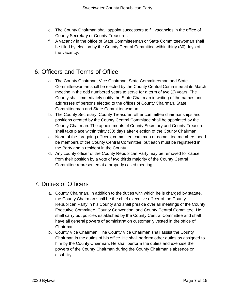- e. The County Chairman shall appoint successors to fill vacancies in the office of County Secretary or County Treasurer.
- f. A vacancy in the office of State Committeeman or State Committeewoman shall be filled by election by the County Central Committee within thirty (30) days of the vacancy.

## <span id="page-6-0"></span>6. Officers and Terms of Office

- a. The County Chairman, Vice Chairman, State Committeeman and State Committeewoman shall be elected by the County Central Committee at its March meeting in the odd numbered years to serve for a term of two (2) years. The County shall immediately notify the State Chairman in writing of the names and addresses of persons elected to the offices of County Chairman, State Committeeman and State Committeewoman.
- b. The County Secretary, County Treasurer, other committee chairmanships and positions created by the County Central Committee shall be appointed by the County Chairman. The appointments of County Secretary and County Treasurer shall take place within thirty (30) days after election of the County Chairman.
- c. None of the foregoing officers, committee chairmen or committee members need be members of the County Central Committee, but each must be registered in the Party and a resident in the County.
- d. Any county officer of the County Republican Party may be removed for cause from their position by a vote of two thirds majority of the County Central Committee represented at a properly called meeting.

## <span id="page-6-1"></span>7. Duties of Officers

- a. County Chairman. In addition to the duties with which he is charged by statute, the County Chairman shall be the chief executive officer of the County Republican Party in his County and shall preside over all meetings of the County Executive Committee, County Convention, and County Central Committee. He shall carry out policies established by the County Central Committee and shall have all general powers of administration customarily vested in the office of Chairman.
- b. County Vice Chairman. The County Vice Chairman shall assist the County Chairman in the duties of his office. He shall perform other duties as assigned to him by the County Chairman. He shall perform the duties and exercise the powers of the County Chairman during the County Chairman's absence or disability.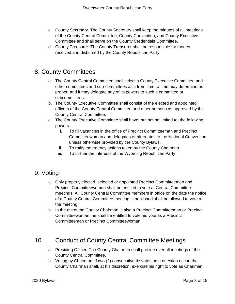- c. County Secretary. The County Secretary shall keep the minutes of all meetings of the County Central Committee, County Convention, and County Executive Committee and shall serve on the County Credentials Committee.
- d. County Treasurer. The County Treasurer shall be responsible for money received and disbursed by the County Republican Party.

## <span id="page-7-0"></span>8. County Committees

- a. The County Central Committee shall select a County Executive Committee and other committees and sub-committees as it from time to time may determine as proper, and it may delegate any of its powers to such a committee or subcommittees.
- b. The County Executive Committee shall consist of the elected and appointed officers of the County Central Committee and other persons as approved by the County Central Committee.
- c. The County Executive Committee shall have, but not be limited to, the following powers:
	- i. To fill vacancies in the office of Precinct Committeeman and Precinct Committeewoman and delegates or alternates to the National Convention unless otherwise provided by the County Bylaws.
	- ii. To ratify emergency actions taken by the County Chairman.
	- iii. To further the interests of the Wyoming Republican Party.

## <span id="page-7-1"></span>9. Voting

- a. Only properly elected, selected or appointed Precinct Committeemen and Precinct Committeewomen shall be entitled to vote at Central Committee meetings. All County Central Committee members in office on the date the notice of a County Central Committee meeting is published shall be allowed to vote at the meeting.
- b. In the event the County Chairman is also a Precinct Committeeman or Precinct Committeewoman, he shall be entitled to vote his vote as a Precinct Committeeman or Precinct Committeewoman.

## <span id="page-7-2"></span>10. Conduct of County Central Committee Meetings

- a. Presiding Officer. The County Chairman shall preside over all meetings of the County Central Committee.
- b. Voting by Chairman. If two (2) consecutive tie votes on a question occur, the County Chairman shall, at his discretion, exercise his right to vote as Chairman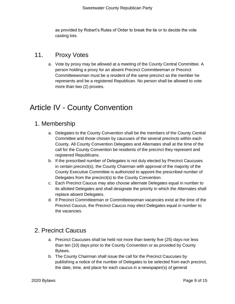as provided by Robert's Rules of Order to break the tie or to decide the vote casting lots.

## <span id="page-8-0"></span>11. Proxy Votes

a. Vote by proxy may be allowed at a meeting of the County Central Committee. A person holding a proxy for an absent Precinct Committeeman or Precinct Committeewoman must be a resident of the same precinct as the member he represents and be a registered Republican. No person shall be allowed to vote more than two (2) proxies.

## <span id="page-8-1"></span>Article IV - County Convention

#### <span id="page-8-2"></span>1. Membership

- a. Delegates to the County Convention shall be the members of the County Central Committee and those chosen by caucuses of the several precincts within each County. All County Convention Delegates and Alternates shall at the time of the call for the County Convention be residents of the precinct they represent and registered Republicans.
- b. If the prescribed number of Delegates is not duly elected by Precinct Caucuses in certain precinct(s), the County Chairman with approval of the majority of the County Executive Committee is authorized to appoint the prescribed number of Delegates from the precinct(s) to the County Convention.
- c. Each Precinct Caucus may also choose alternate Delegates equal in number to its allotted Delegates and shall designate the priority in which the Alternates shall replace absent Delegates.
- d. If Precinct Committeeman or Committeewoman vacancies exist at the time of the Precinct Caucus, the Precinct Caucus may elect Delegates equal in number to the vacancies.

## <span id="page-8-3"></span>2. Precinct Caucus

- a. Precinct Caucuses shall be held not more than twenty five (25) days nor less than ten (10) days prior to the County Convention or as provided by County Bylaws.
- b. The County Chairman shall issue the call for the Precinct Caucuses by publishing a notice of the number of Delegates to be selected from each precinct, the date, time, and place for each caucus in a newspaper(s) of general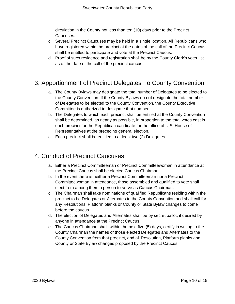circulation in the County not less than ten (10) days prior to the Precinct Caucuses.

- c. Several Precinct Caucuses may be held in a single location. All Republicans who have registered within the precinct at the dates of the call of the Precinct Caucus shall be entitled to participate and vote at the Precinct Caucus.
- d. Proof of such residence and registration shall be by the County Clerk's voter list as of the date of the call of the precinct caucus.

## <span id="page-9-0"></span>3. Apportionment of Precinct Delegates To County Convention

- a. The County Bylaws may designate the total number of Delegates to be elected to the County Convention. If the County Bylaws do not designate the total number of Delegates to be elected to the County Convention, the County Executive Committee is authorized to designate that number.
- b. The Delegates to which each precinct shall be entitled at the County Convention shall be determined, as nearly as possible, in proportion to the total votes cast in each precinct for the Republican candidate for the office of U.S. House of Representatives at the preceding general election.
- c. Each precinct shall be entitled to at least two (2) Delegates.

## <span id="page-9-1"></span>4. Conduct of Precinct Caucuses

- a. Either a Precinct Committeeman or Precinct Committeewoman in attendance at the Precinct Caucus shall be elected Caucus Chairman.
- b. In the event there is neither a Precinct Committeeman nor a Precinct Committeewoman in attendance, those assembled and qualified to vote shall elect from among them a person to serve as Caucus Chairman.
- c. The Chairman shall take nominations of qualified Republicans residing within the precinct to be Delegates or Alternates to the County Convention and shall call for any Resolutions, Platform planks or County or State Bylaw changes to come before the caucus.
- d. The election of Delegates and Alternates shall be by secret ballot, if desired by anyone in attendance at the Precinct Caucus.
- e. The Caucus Chairman shall, within the next five (5) days, certify in writing to the County Chairman the names of those elected Delegates and Alternates to the County Convention from that precinct, and all Resolution, Platform planks and County or State Bylaw changes proposed by the Precinct Caucus.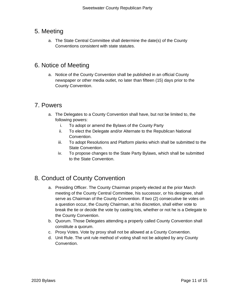## <span id="page-10-0"></span>5. Meeting

a. The State Central Committee shall determine the date(s) of the County Conventions consistent with state statutes.

## <span id="page-10-1"></span>6. Notice of Meeting

a. Notice of the County Convention shall be published in an official County newspaper or other media outlet, no later than fifteen (15) days prior to the County Convention.

#### <span id="page-10-2"></span>7. Powers

- a. The Delegates to a County Convention shall have, but not be limited to, the following powers:
	- i. To adopt or amend the Bylaws of the County Party
	- ii. To elect the Delegate and/or Alternate to the Republican National Convention.
	- iii. To adopt Resolutions and Platform planks which shall be submitted to the State Convention.
	- iv. To propose changes to the State Party Bylaws, which shall be submitted to the State Convention.

## <span id="page-10-3"></span>8. Conduct of County Convention

- a. Presiding Officer. The County Chairman properly elected at the prior March meeting of the County Central Committee, his successor, or his designee, shall serve as Chairman of the County Convention. If two (2) consecutive tie votes on a question occur, the County Chairman, at his discretion, shall either vote to break the tie or decide the vote by casting lots, whether or not he is a Delegate to the County Convention.
- b. Quorum. Those Delegates attending a properly called County Convention shall constitute a quorum.
- c. Proxy Votes. Vote by proxy shall not be allowed at a County Convention.
- d. Unit Rule. The unit rule method of voting shall not be adopted by any County Convention.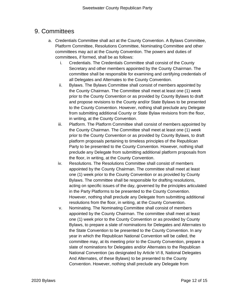## <span id="page-11-0"></span>9. Committees

- a. Credentials Committee shall act at the County Convention. A Bylaws Committee, Platform Committee, Resolutions Committee, Nominating Committee and other committees may act at the County Convention. The powers and duties of committees, if formed, shall be as follows:
	- i. Credentials. The Credentials Committee shall consist of the County Secretary and other members appointed by the County Chairman. The committee shall be responsible for examining and certifying credentials of all Delegates and Alternates to the County Convention.
	- ii. Bylaws. The Bylaws Committee shall consist of members appointed by the County Chairman. The Committee shall meet at least one (1) week prior to the County Convention or as provided by County Bylaws to draft and propose revisions to the County and/or State Bylaws to be presented to the County Convention. However, nothing shall preclude any Delegate from submitting additional County or State Bylaw revisions from the floor, in writing, at the County Convention.
	- iii. Platform. The Platform Committee shall consist of members appointed by the County Chairman. The Committee shall meet at least one (1) week prior to the County Convention or as provided by County Bylaws, to draft platform proposals pertaining to timeless principles of the Republican Party to be presented to the County Convention. However, nothing shall preclude any Delegate from submitting additional platform proposals from the floor, in writing, at the County Convention.
	- iv. Resolutions. The Resolutions Committee shall consist of members appointed by the County Chairman. The committee shall meet at least one (1) week prior to the County Convention or as provided by County Bylaws. The committee shall be responsible for drafting resolutions, acting on specific issues of the day, governed by the principles articulated in the Party Platforms to be presented to the County Convention. However, nothing shall preclude any Delegate from submitting additional resolutions from the floor, in writing, at the County Convention.
	- v. Nominating. The Nominating Committee shall consist of members appointed by the County Chairman. The committee shall meet at least one (1) week prior to the County Convention or as provided by County Bylaws, to prepare a slate of nominations for Delegates and Alternates to the State Convention to be presented to the County Convention. In any year in which the Republican National Convention will be called, the committee may, at its meeting prior to the County Convention, prepare a slate of nominations for Delegates and/or Alternates to the Republican National Convention (as designated by Article VI 8, National Delegates And Alternates, of these Bylaws) to be presented to the County Convention. However, nothing shall preclude any Delegate from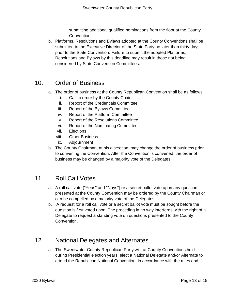submitting additional qualified nominations from the floor at the County Convention.

b. Platforms, Resolutions and Bylaws adopted at the County Conventions shall be submitted to the Executive Director of the State Party no later than thirty days prior to the State Convention. Failure to submit the adopted Platforms, Resolutions and Bylaws by this deadline may result in those not being considered by State Convention Committees.

## <span id="page-12-0"></span>10. Order of Business

- a. The order of business at the County Republican Convention shall be as follows:
	- i. Call to order by the County Chair
	- ii. Report of the Credentials Committee
	- iii. Report of the Bylaws Committee
	- iv. Report of the Platform Committee
	- v. Report of the Resolutions Committee
	- vi. Report of the Nominating Committee
	- vii. Elections
	- viii. Other Business
	- ix. Adjournment
- b. The County Chairman, at his discretion, may change the order of business prior to convening the Convention. After the Convention is convened, the order of business may be changed by a majority vote of the Delegates.

## <span id="page-12-1"></span>11. Roll Call Votes

- a. A roll call vote ("Yeas" and "Nays") or a secret ballot vote upon any question presented at the County Convention may be ordered by the County Chairman or can be compelled by a majority vote of the Delegates.
- b. A request for a roll call vote or a secret ballot vote must be sought before the question is first voted upon. The preceding in no way interferes with the right of a Delegate to request a standing vote on questions presented to the County Convention.

## <span id="page-12-2"></span>12. National Delegates and Alternates

a. The Sweetwater County Republican Party will, at County Conventions held during Presidential election years, elect a National Delegate and/or Alternate to attend the Republican National Convention, in accordance with the rules and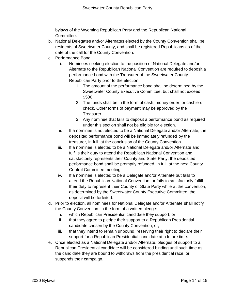bylaws of the Wyoming Republican Party and the Republican National Committee.

- b. National Delegates and/or Alternates elected by the County Convention shall be residents of Sweetwater County, and shall be registered Republicans as of the date of the call for the County Convention.
- c. Performance Bond
	- i. Nominees seeking election to the position of National Delegate and/or Alternate to the Republican National Convention are required to deposit a performance bond with the Treasurer of the Sweetwater County Republican Party prior to the election.
		- 1. The amount of the performance bond shall be determined by the Sweetwater County Executive Committee, but shall not exceed \$500.
		- 2. The funds shall be in the form of cash, money order, or cashiers check. Other forms of payment may be approved by the Treasurer.
		- 3. Any nominee that fails to deposit a performance bond as required under this section shall not be eligible for election.
	- ii. If a nominee is not elected to be a National Delegate and/or Alternate, the deposited performance bond will be immediately refunded by the treasurer, in full, at the conclusion of the County Convention.
	- iii. If a nominee is elected to be a National Delegate and/or Alternate and fulfills their duty to attend the Republican National Convention and satisfactorily represents their County and State Party, the deposited performance bond shall be promptly refunded, in full, at the next County Central Committee meeting.
	- iv. If a nominee is elected to be a Delegate and/or Alternate but fails to attend the Republican National Convention, or fails to satisfactorily fulfill their duty to represent their County or State Party while at the convention, as determined by the Sweetwater County Executive Committee, the deposit will be forfeited.
- d. Prior to election, all nominees for National Delegate and/or Alternate shall notify the County Convention, in the form of a written pledge:
	- i. which Republican Presidential candidate they support; or,
	- ii. that they agree to pledge their support to a Republican Presidential candidate chosen by the County Convention; or,
	- iii. that they intend to remain unbound, reserving their right to declare their support for a Republican Presidential candidate at a future time.
- e. Once elected as a National Delegate and/or Alternate, pledges of support to a Republican Presidential candidate will be considered binding until such time as the candidate they are bound to withdraws from the presidential race, or suspends their campaign.